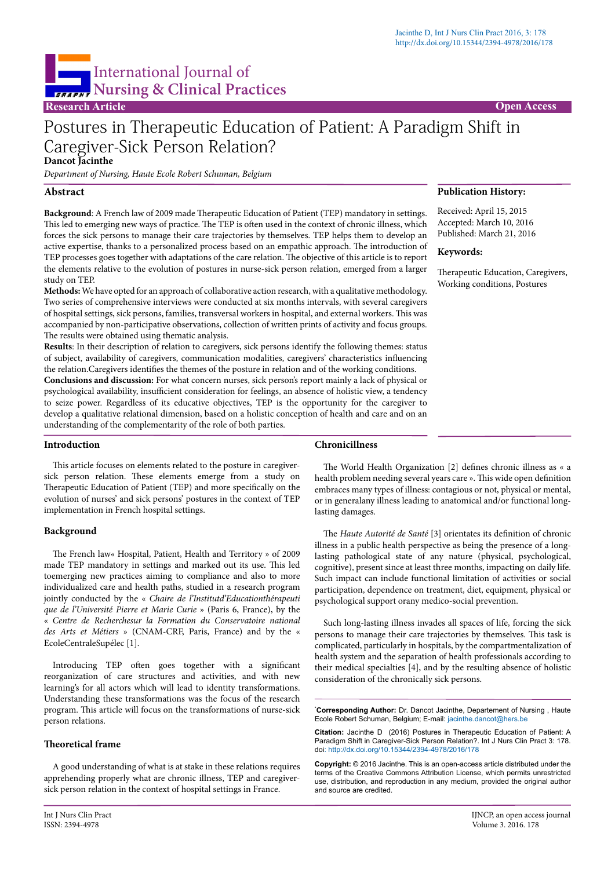**Publication History:** Received: April 15, 2015 Accepted: March 10, 2016 Published: March 21, 2016

Therapeutic Education, Caregivers, Working conditions, Postures

**Keywords:**

# International Journal of **Nursing & Clinical Practices**

**Research Article Open Access** 

# Postures in Therapeutic Education of Patient: A Paradigm Shift in Caregiver-Sick Person Relation? **Dancot Jacinthe**

*Department of Nursing, Haute Ecole Robert Schuman, Belgium*

# **Abstract**

**Background**: A French law of 2009 made Therapeutic Education of Patient (TEP) mandatory in settings. This led to emerging new ways of practice. The TEP is often used in the context of chronic illness, which forces the sick persons to manage their care trajectories by themselves. TEP helps them to develop an active expertise, thanks to a personalized process based on an empathic approach. The introduction of TEP processes goes together with adaptations of the care relation. The objective of this article is to report the elements relative to the evolution of postures in nurse-sick person relation, emerged from a larger study on TEP.

**Methods:** We have opted for an approach of collaborative action research, with a qualitative methodology. Two series of comprehensive interviews were conducted at six months intervals, with several caregivers of hospital settings, sick persons, families, transversal workers in hospital, and external workers. This was accompanied by non-participative observations, collection of written prints of activity and focus groups. The results were obtained using thematic analysis.

**Results**: In their description of relation to caregivers, sick persons identify the following themes: status of subject, availability of caregivers, communication modalities, caregivers' characteristics influencing the relation.Caregivers identifies the themes of the posture in relation and of the working conditions. **Conclusions and discussion:** For what concern nurses, sick person's report mainly a lack of physical or

psychological availability, insufficient consideration for feelings, an absence of holistic view, a tendency to seize power. Regardless of its educative objectives, TEP is the opportunity for the caregiver to develop a qualitative relational dimension, based on a holistic conception of health and care and on an understanding of the complementarity of the role of both parties.

# **Introduction**

This article focuses on elements related to the posture in caregiversick person relation. These elements emerge from a study on Therapeutic Education of Patient (TEP) and more specifically on the evolution of nurses' and sick persons' postures in the context of TEP implementation in French hospital settings.

# **Background**

The French law« Hospital, Patient, Health and Territory » of 2009 made TEP mandatory in settings and marked out its use. This led toemerging new practices aiming to compliance and also to more individualized care and health paths, studied in a research program jointly conducted by the « *Chaire de l'Institutd'Educationthérapeuti que de l'Université Pierre et Marie Curie* » (Paris 6, France), by the « *Centre de Recherchesur la Formation du Conservatoire national des Arts et Métiers* » (CNAM-CRF, Paris, France) and by the « EcoleCentraleSupélec [1].

Introducing TEP often goes together with a significant reorganization of care structures and activities, and with new learning's for all actors which will lead to identity transformations. Understanding these transformations was the focus of the research program. This article will focus on the transformations of nurse-sick person relations.

# **Theoretical frame**

A good understanding of what is at stake in these relations requires apprehending properly what are chronic illness, TEP and caregiversick person relation in the context of hospital settings in France.

# **Chronicillness**

The World Health Organization [2] defines chronic illness as « a health problem needing several years care ». This wide open definition embraces many types of illness: contagious or not, physical or mental, or in generalany illness leading to anatomical and/or functional longlasting damages.

The *Haute Autorité de Santé* [3] orientates its definition of chronic illness in a public health perspective as being the presence of a longlasting pathological state of any nature (physical, psychological, cognitive), present since at least three months, impacting on daily life. Such impact can include functional limitation of activities or social participation, dependence on treatment, diet, equipment, physical or psychological support orany medico-social prevention.

Such long-lasting illness invades all spaces of life, forcing the sick persons to manage their care trajectories by themselves. This task is complicated, particularly in hospitals, by the compartmentalization of health system and the separation of health professionals according to their medical specialties [4], and by the resulting absence of holistic consideration of the chronically sick persons.

**\* Corresponding Author:** Dr. Dancot Jacinthe, Departement of Nursing , Haute Ecole Robert Schuman, Belgium; E-mail: jacinthe.dancot@hers.be

**Citation:** Jacinthe D (2016) Postures in Therapeutic Education of Patient: A Paradigm Shift in Caregiver-Sick Person Relation?. Int J Nurs Clin Pract 3: 178. [doi:](doi:%20http://dx.doi.org/10.15344/2394-4978/2015/121) <http://dx.doi.org/10.15344/2394-4978/2016/178>

**Copyright:** © 2016 Jacinthe. This is an open-access article distributed under the terms of the Creative Commons Attribution License, which permits unrestricted use, distribution, and reproduction in any medium, provided the original author and source are credited.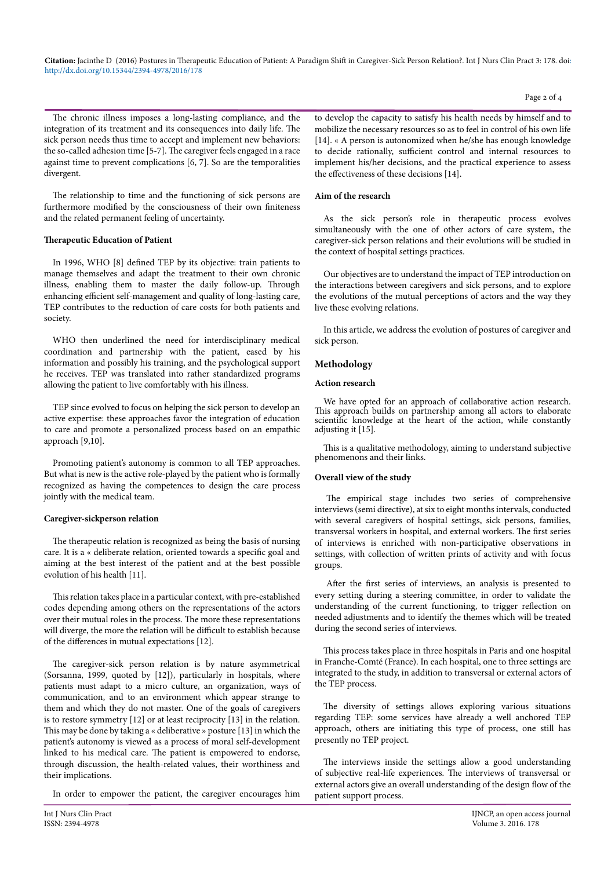**Citation:** Jacinthe D (2016) Postures in Therapeutic Education of Patient: A Paradigm Shift in Caregiver-Sick Person Relation?. Int J Nurs Clin Pract 3: 178. doi: <http://dx.doi.org/10.15344/2394-4978/2016/178>

The chronic illness imposes a long-lasting compliance, and the integration of its treatment and its consequences into daily life. The sick person needs thus time to accept and implement new behaviors: the so-called adhesion time [5-7]. The caregiver feels engaged in a race against time to prevent complications [6, 7]. So are the temporalities divergent.

The relationship to time and the functioning of sick persons are furthermore modified by the consciousness of their own finiteness and the related permanent feeling of uncertainty.

#### **Therapeutic Education of Patient**

In 1996, WHO [8] defined TEP by its objective: train patients to manage themselves and adapt the treatment to their own chronic illness, enabling them to master the daily follow-up. Through enhancing efficient self-management and quality of long-lasting care, TEP contributes to the reduction of care costs for both patients and society.

WHO then underlined the need for interdisciplinary medical coordination and partnership with the patient, eased by his information and possibly his training, and the psychological support he receives. TEP was translated into rather standardized programs allowing the patient to live comfortably with his illness.

TEP since evolved to focus on helping the sick person to develop an active expertise: these approaches favor the integration of education to care and promote a personalized process based on an empathic approach [9,10].

Promoting patient's autonomy is common to all TEP approaches. But what is new is the active role-played by the patient who is formally recognized as having the competences to design the care process jointly with the medical team.

#### **Caregiver-sickperson relation**

The therapeutic relation is recognized as being the basis of nursing care. It is a « deliberate relation, oriented towards a specific goal and aiming at the best interest of the patient and at the best possible evolution of his health [11].

This relation takes place in a particular context, with pre-established codes depending among others on the representations of the actors over their mutual roles in the process. The more these representations will diverge, the more the relation will be difficult to establish because of the differences in mutual expectations [12].

The caregiver-sick person relation is by nature asymmetrical (Sorsanna, 1999, quoted by [12]), particularly in hospitals, where patients must adapt to a micro culture, an organization, ways of communication, and to an environment which appear strange to them and which they do not master. One of the goals of caregivers is to restore symmetry [12] or at least reciprocity [13] in the relation. This may be done by taking a « deliberative » posture [13] in which the patient's autonomy is viewed as a process of moral self-development linked to his medical care. The patient is empowered to endorse, through discussion, the health-related values, their worthiness and their implications.

In order to empower the patient, the caregiver encourages him

to develop the capacity to satisfy his health needs by himself and to mobilize the necessary resources so as to feel in control of his own life [14]. « A person is autonomized when he/she has enough knowledge to decide rationally, sufficient control and internal resources to implement his/her decisions, and the practical experience to assess the effectiveness of these decisions [14].

#### **Aim of the research**

As the sick person's role in therapeutic process evolves simultaneously with the one of other actors of care system, the caregiver-sick person relations and their evolutions will be studied in the context of hospital settings practices.

Our objectives are to understand the impact of TEP introduction on the interactions between caregivers and sick persons, and to explore the evolutions of the mutual perceptions of actors and the way they live these evolving relations.

In this article, we address the evolution of postures of caregiver and sick person.

#### **Methodology**

#### **Action research**

We have opted for an approach of collaborative action research. This approach builds on partnership among all actors to elaborate scientific knowledge at the heart of the action, while constantly adjusting it [15].

This is a qualitative methodology, aiming to understand subjective phenomenons and their links.

#### **Overall view of the study**

The empirical stage includes two series of comprehensive interviews (semi directive), at six to eight months intervals, conducted with several caregivers of hospital settings, sick persons, families, transversal workers in hospital, and external workers. The first series of interviews is enriched with non-participative observations in settings, with collection of written prints of activity and with focus groups.

After the first series of interviews, an analysis is presented to every setting during a steering committee, in order to validate the understanding of the current functioning, to trigger reflection on needed adjustments and to identify the themes which will be treated during the second series of interviews.

This process takes place in three hospitals in Paris and one hospital in Franche-Comté (France). In each hospital, one to three settings are integrated to the study, in addition to transversal or external actors of the TEP process.

The diversity of settings allows exploring various situations regarding TEP: some services have already a well anchored TEP approach, others are initiating this type of process, one still has presently no TEP project.

The interviews inside the settings allow a good understanding of subjective real-life experiences. The interviews of transversal or external actors give an overall understanding of the design flow of the patient support process.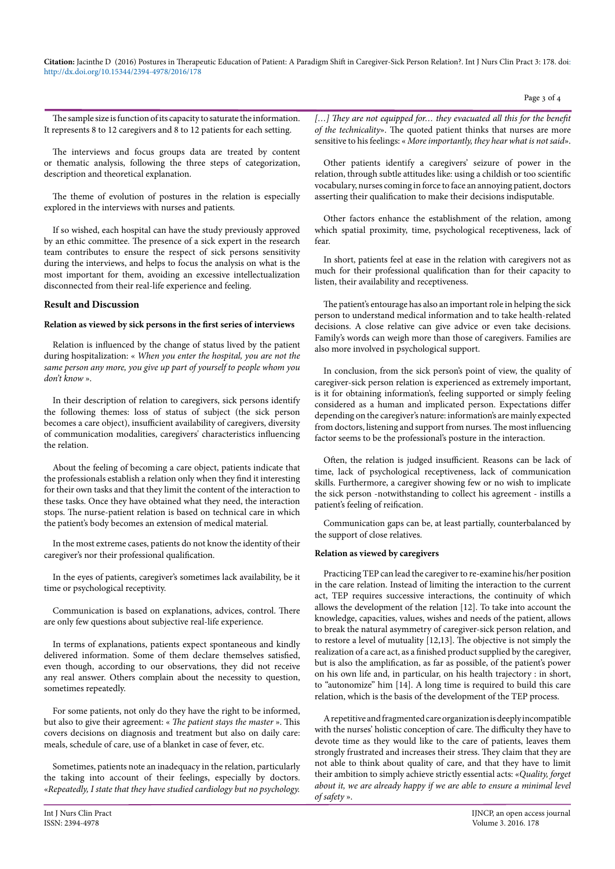**Citation:** Jacinthe D (2016) Postures in Therapeutic Education of Patient: A Paradigm Shift in Caregiver-Sick Person Relation?. Int J Nurs Clin Pract 3: 178. doi: <http://dx.doi.org/10.15344/2394-4978/2016/178>

Page 3 of 4

The sample size is function of its capacity to saturate the information. It represents 8 to 12 caregivers and 8 to 12 patients for each setting.

The interviews and focus groups data are treated by content or thematic analysis, following the three steps of categorization, description and theoretical explanation.

The theme of evolution of postures in the relation is especially explored in the interviews with nurses and patients.

If so wished, each hospital can have the study previously approved by an ethic committee. The presence of a sick expert in the research team contributes to ensure the respect of sick persons sensitivity during the interviews, and helps to focus the analysis on what is the most important for them, avoiding an excessive intellectualization disconnected from their real-life experience and feeling.

#### **Result and Discussion**

# **Relation as viewed by sick persons in the first series of interviews**

Relation is influenced by the change of status lived by the patient during hospitalization: « *When you enter the hospital, you are not the same person any more, you give up part of yourself to people whom you don't know* ».

In their description of relation to caregivers, sick persons identify the following themes: loss of status of subject (the sick person becomes a care object), insufficient availability of caregivers, diversity of communication modalities, caregivers' characteristics influencing the relation.

About the feeling of becoming a care object, patients indicate that the professionals establish a relation only when they find it interesting for their own tasks and that they limit the content of the interaction to these tasks. Once they have obtained what they need, the interaction stops. The nurse-patient relation is based on technical care in which the patient's body becomes an extension of medical material.

In the most extreme cases, patients do not know the identity of their caregiver's nor their professional qualification.

In the eyes of patients, caregiver's sometimes lack availability, be it time or psychological receptivity.

Communication is based on explanations, advices, control. There are only few questions about subjective real-life experience.

In terms of explanations, patients expect spontaneous and kindly delivered information. Some of them declare themselves satisfied, even though, according to our observations, they did not receive any real answer. Others complain about the necessity to question, sometimes repeatedly.

For some patients, not only do they have the right to be informed, but also to give their agreement: « *The patient stays the master* ». This covers decisions on diagnosis and treatment but also on daily care: meals, schedule of care, use of a blanket in case of fever, etc.

Sometimes, patients note an inadequacy in the relation, particularly the taking into account of their feelings, especially by doctors. «*Repeatedly, I state that they have studied cardiology but no psychology.* [...] They are not equipped for... they evacuated all this for the benefit *of the technicality*». The quoted patient thinks that nurses are more sensitive to his feelings: « *More importantly, they hear what is not said*».

Other patients identify a caregivers' seizure of power in the relation, through subtle attitudes like: using a childish or too scientific vocabulary, nurses coming in force to face an annoying patient, doctors asserting their qualification to make their decisions indisputable.

Other factors enhance the establishment of the relation, among which spatial proximity, time, psychological receptiveness, lack of fear.

In short, patients feel at ease in the relation with caregivers not as much for their professional qualification than for their capacity to listen, their availability and receptiveness.

The patient's entourage has also an important role in helping the sick person to understand medical information and to take health-related decisions. A close relative can give advice or even take decisions. Family's words can weigh more than those of caregivers. Families are also more involved in psychological support.

In conclusion, from the sick person's point of view, the quality of caregiver-sick person relation is experienced as extremely important, is it for obtaining information's, feeling supported or simply feeling considered as a human and implicated person. Expectations differ depending on the caregiver's nature: information's are mainly expected from doctors, listening and support from nurses. The most influencing factor seems to be the professional's posture in the interaction.

Often, the relation is judged insufficient. Reasons can be lack of time, lack of psychological receptiveness, lack of communication skills. Furthermore, a caregiver showing few or no wish to implicate the sick person -notwithstanding to collect his agreement - instills a patient's feeling of reification.

Communication gaps can be, at least partially, counterbalanced by the support of close relatives.

#### **Relation as viewed by caregivers**

Practicing TEP can lead the caregiver to re-examine his/her position in the care relation. Instead of limiting the interaction to the current act, TEP requires successive interactions, the continuity of which allows the development of the relation [12]. To take into account the knowledge, capacities, values, wishes and needs of the patient, allows to break the natural asymmetry of caregiver-sick person relation, and to restore a level of mutuality [12,13]. The objective is not simply the realization of a care act, as a finished product supplied by the caregiver, but is also the amplification, as far as possible, of the patient's power on his own life and, in particular, on his health trajectory : in short, to "autonomize" him [14]. A long time is required to build this care relation, which is the basis of the development of the TEP process.

A repetitive and fragmented care organization is deeply incompatible with the nurses' holistic conception of care. The difficulty they have to devote time as they would like to the care of patients, leaves them strongly frustrated and increases their stress. They claim that they are not able to think about quality of care, and that they have to limit their ambition to simply achieve strictly essential acts: «*Quality, forget about it, we are already happy if we are able to ensure a minimal level of safety* ».